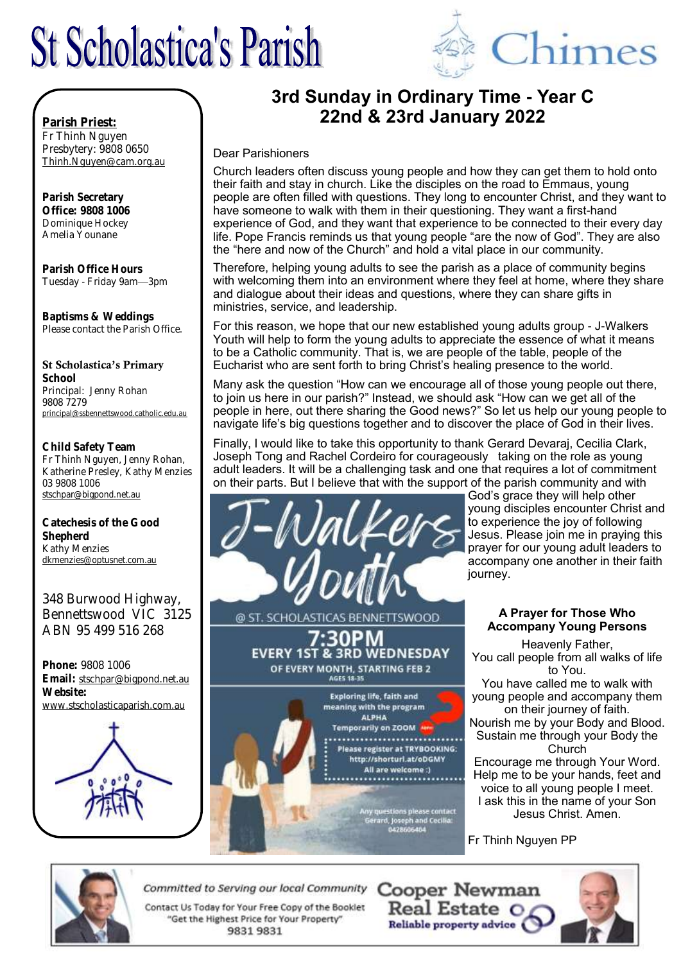# **St Scholastica's Parish**



# **3rd Sunday in Ordinary Time - Year C 22nd & 23rd January 2022**

#### Dear Parishioners

Church leaders often discuss young people and how they can get them to hold onto their faith and stay in church. Like the disciples on the road to Emmaus, young people are often filled with questions. They long to encounter Christ, and they want to have someone to walk with them in their questioning. They want a first-hand experience of God, and they want that experience to be connected to their every day life. Pope Francis reminds us that young people "are the now of God". They are also the "here and now of the Church" and hold a vital place in our community.

Therefore, helping young adults to see the parish as a place of community begins with welcoming them into an environment where they feel at home, where they share and dialogue about their ideas and questions, where they can share gifts in ministries, service, and leadership.

For this reason, we hope that our new established young adults group - J-Walkers Youth will help to form the young adults to appreciate the essence of what it means to be a Catholic community. That is, we are people of the table, people of the Eucharist who are sent forth to bring Christ's healing presence to the world.

Many ask the question "How can we encourage all of those young people out there, to join us here in our parish?" Instead, we should ask "How can we get all of the people in here, out there sharing the Good news?" So let us help our young people to navigate life's big questions together and to discover the place of God in their lives.

Finally, I would like to take this opportunity to thank Gerard Devaraj, Cecilia Clark, Joseph Tong and Rachel Cordeiro for courageously taking on the role as young adult leaders. It will be a challenging task and one that requires a lot of commitment on their parts. But I believe that with the support of the parish community and with



@ ST. SCHOLASTICAS BENNETTSWOOD ′∙30PM

God's grace they will help other young disciples encounter Christ and to experience the joy of following Jesus. Please join me in praying this prayer for our young adult leaders to accompany one another in their faith journey.

#### **A Prayer for Those Who Accompany Young Persons**

Heavenly Father, You call people from all walks of life to You. You have called me to walk with young people and accompany them on their journey of faith. Nourish me by your Body and Blood. Sustain me through your Body the Church Encourage me through Your Word. Help me to be your hands, feet and voice to all young people I meet. I ask this in the name of your Son Jesus Christ. Amen.

Fr Thinh Nguyen PP



Office: 9808 1006 Dominique Hockey Amelia Younane

Parish Priest:

Parish Office Hours Tuesday - Friday 9am—3pm

Baptisms & Weddings Please contact the Parish Office.

#### St Scholastica's Primary

School Principal: Jenny Rohan 9808 7279 principal@ssbennettswood.catholic.edu.au

Child Safety Team Fr Thinh Nguyen, Jenny Rohan, Katherine Presley, Kathy Menzies 03 9808 1006 stschpar@bigpond.net.au

Catechesis of the Good **Shepherd** Kathy Menzies dkmenzies@optusnet.com.au

348 Burwood Highway, Bennettswood VIC 3125 ABN 95 499 516 268

Phone: 9808 1006 Email: stschpar@bigpond.net.au Website: www.stscholasticaparish.com.au



**EVERY 1ST & 3RD WEDNESDAY** OF EVERY MONTH, STARTING FEB 2 **AGES 18.35 Exploring life, faith and** meaning with the program **ALPHA** Temporarily on ZOOM .................... Please register at TRYBOOKING: http://shorturl.at/oDGMY All are welcome :) ....................... lease contact<br>Land Cecilia:



Committed to Serving our local Community

Contact Us Today for Your Free Copy of the Booklet "Get the Highest Price for Your Property" 98319831

**Cooper Newman** Real Estate O Reliable property advice

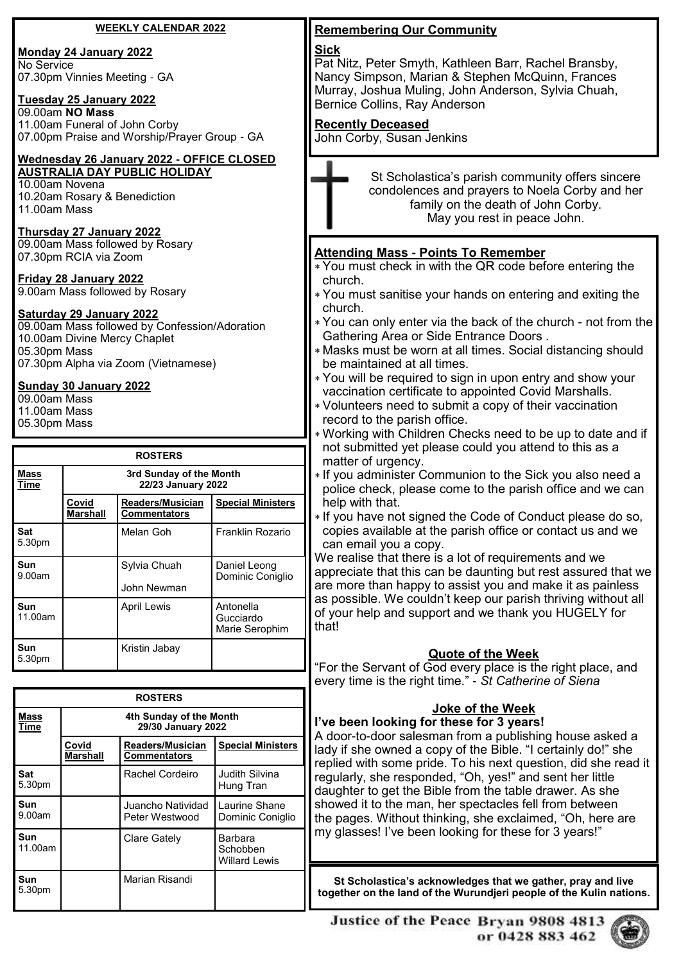#### **WEEKLY CALENDAR 2022**

#### **Monday 24 January 2022**

No Service 07.30pm Vinnies Meeting - GA

### **Tuesday 25 January 2022**

09.00am **NO Mass** 11.00am Funeral of John Corby 07.00pm Praise and Worship/Prayer Group - GA

#### **Wednesday 26 January 2022 - OFFICE CLOSED AUSTRALIA DAY PUBLIC HOLIDAY**

10.00am Novena 10.20am Rosary & Benediction 11.00am Mass

# **Thursday 27 January 2022**

09.00am Mass followed by Rosary 07.30pm RCIA via Zoom

# **Friday 28 January 2022**

9.00am Mass followed by Rosary

# **Saturday 29 January 2022**

09.00am Mass followed by Confession/Adoration 10.00am Divine Mercy Chaplet 05.30pm Mass 07.30pm Alpha via Zoom (Vietnamese)

# **Sunday 30 January 2022**

09.00am Mass

- 11.00am Mass
- 05.30pm Mass

| <b>ROSTERS</b>        |                                               |                                                |                                          |  |  |
|-----------------------|-----------------------------------------------|------------------------------------------------|------------------------------------------|--|--|
| Mass<br><b>Time</b>   | 3rd Sunday of the Month<br>22/23 January 2022 |                                                |                                          |  |  |
|                       | Covid<br><b>Marshall</b>                      | <b>Readers/Musician</b><br><b>Commentators</b> | <b>Special Ministers</b>                 |  |  |
| <b>Sat</b><br>5.30pm  |                                               | Melan Goh                                      | Franklin Rozario                         |  |  |
| <b>Sun</b><br>9.00am  |                                               | Sylvia Chuah<br>John Newman                    | Daniel Leong<br>Dominic Coniglio         |  |  |
| <b>Sun</b><br>11.00am |                                               | <b>April Lewis</b>                             | Antonella<br>Gucciardo<br>Marie Serophim |  |  |
| Sun<br>5.30pm         |                                               | Kristin Jabay                                  |                                          |  |  |

| <b>ROSTERS</b> |                                               |                                         |                                             |  |  |
|----------------|-----------------------------------------------|-----------------------------------------|---------------------------------------------|--|--|
| Mass<br>Time   | 4th Sunday of the Month<br>29/30 January 2022 |                                         |                                             |  |  |
|                | Covid<br>Marshall                             | Readers/Musician<br><b>Commentators</b> | <b>Special Ministers</b>                    |  |  |
| Sat<br>5.30pm  |                                               | Rachel Cordeiro                         | Judith Silvina<br>Hung Tran                 |  |  |
| Sun<br>9.00am  |                                               | Juancho Natividad<br>Peter Westwood     | Laurine Shane<br>Dominic Coniglio           |  |  |
| Sun<br>11.00am |                                               | Clare Gately                            | Barbara<br>Schobben<br><b>Willard Lewis</b> |  |  |
| Sun<br>5.30pm  |                                               | Marian Risandi                          |                                             |  |  |

# **Remembering Our Community**

#### **Sick**

Pat Nitz, Peter Smyth, Kathleen Barr, Rachel Bransby, Nancy Simpson, Marian & Stephen McQuinn, Frances Murray, Joshua Muling, John Anderson, Sylvia Chuah, Bernice Collins, Ray Anderson

#### **Recently Deceased**

John Corby, Susan Jenkins

St Scholastica's parish community offers sincere condolences and prayers to Noela Corby and her family on the death of John Corby. May you rest in peace John.

#### **Attending Mass - Points To Remember**

- You must check in with the QR code before entering the church.
- You must sanitise your hands on entering and exiting the church.
- You can only enter via the back of the church not from the Gathering Area or Side Entrance Doors .
- Masks must be worn at all times. Social distancing should be maintained at all times.
- You will be required to sign in upon entry and show your vaccination certificate to appointed Covid Marshalls.
- Volunteers need to submit a copy of their vaccination record to the parish office.
- Working with Children Checks need to be up to date and if not submitted yet please could you attend to this as a matter of urgency.
- If you administer Communion to the Sick you also need a police check, please come to the parish office and we can help with that.
- If you have not signed the Code of Conduct please do so, copies available at the parish office or contact us and we can email you a copy.

We realise that there is a lot of requirements and we appreciate that this can be daunting but rest assured that we are more than happy to assist you and make it as painless as possible. We couldn't keep our parish thriving without all of your help and support and we thank you HUGELY for that!

#### **Quote of the Week**

"For the Servant of God every place is the right place, and every time is the right time." - *St Catherine of Siena*

# **Joke of the Week**

**I've been looking for these for 3 years!** A door-to-door salesman from a publishing house asked a lady if she owned a copy of the Bible. "I certainly do!" she replied with some pride. To his next question, did she read it regularly, she responded, "Oh, yes!" and sent her little daughter to get the Bible from the table drawer. As she showed it to the man, her spectacles fell from between the pages. Without thinking, she exclaimed, "Oh, here are my glasses! I've been looking for these for 3 years!"

St Scholastica's acknowledges that we gather, pray and live **together on the land of the Wurundjeri people of the Kulin nations.**

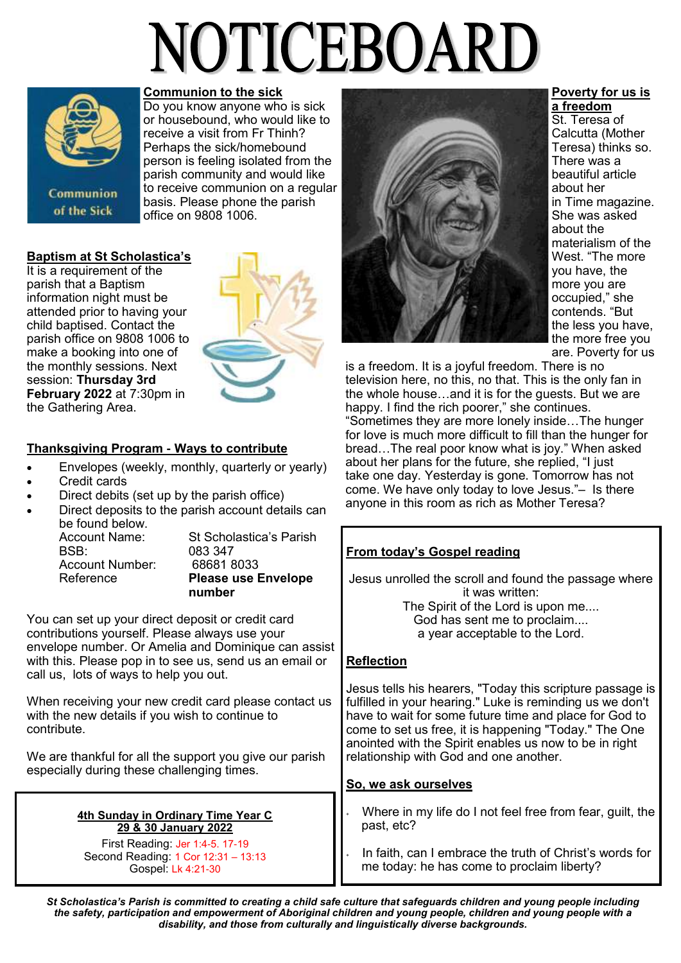# NOTICEBOARD



#### **Communion to the sick**

Do you know anyone who is sick or housebound, who would like to receive a visit from Fr Thinh? Perhaps the sick/homebound person is feeling isolated from the parish community and would like to receive communion on a regular basis. Please phone the parish office on 9808 1006.

#### **Baptism at St Scholastica's**

It is a requirement of the parish that a Baptism information night must be attended prior to having your child baptised. Contact the parish office on 9808 1006 to make a booking into one of the monthly sessions. Next session: **Thursday 3rd February 2022** at 7:30pm in the Gathering Area.



#### **Thanksgiving Program - Ways to contribute**

- Envelopes (weekly, monthly, quarterly or yearly)
- Credit cards
- Direct debits (set up by the parish office)
- Direct deposits to the parish account details can be found below.

| Account Name:   | St Scholastica's Parish    |
|-----------------|----------------------------|
|                 |                            |
| <b>BSB</b>      | 083 347                    |
| Account Number: | 686818033                  |
| Reference       | <b>Please use Envelope</b> |
|                 | number                     |

You can set up your direct deposit or credit card contributions yourself. Please always use your envelope number. Or Amelia and Dominique can assist with this. Please pop in to see us, send us an email or call us, lots of ways to help you out.

When receiving your new credit card please contact us with the new details if you wish to continue to contribute.

We are thankful for all the support you give our parish especially during these challenging times.

#### **4th Sunday in Ordinary Time Year C 29 & 30 January 2022**

First Reading: Jer 1:4-5. 17-19 Second Reading: 1 Cor 12:31 – 13:13 Gospel: Lk 4:21-30



**Poverty for us is** 

**a freedom** St. Teresa of Calcutta (Mother Teresa) thinks so. There was a beautiful article about her in Time magazine. She was asked about the materialism of the West. "The more you have, the more you are occupied," she contends. "But the less you have, the more free you are. Poverty for us

is a freedom. It is a joyful freedom. There is no television here, no this, no that. This is the only fan in the whole house…and it is for the guests. But we are happy. I find the rich poorer," she continues. "Sometimes they are more lonely inside…The hunger for love is much more difficult to fill than the hunger for bread…The real poor know what is joy." When asked about her plans for the future, she replied, "I just take one day. Yesterday is gone. Tomorrow has not come. We have only today to love Jesus."– Is there anyone in this room as rich as Mother Teresa?

#### **From today's Gospel reading**

Jesus unrolled the scroll and found the passage where it was written: The Spirit of the Lord is upon me.... God has sent me to proclaim.... a year acceptable to the Lord.

#### **Reflection**

Jesus tells his hearers, "Today this scripture passage is fulfilled in your hearing." Luke is reminding us we don't have to wait for some future time and place for God to come to set us free, it is happening "Today." The One anointed with the Spirit enables us now to be in right relationship with God and one another.

#### **So, we ask ourselves**

- Where in my life do I not feel free from fear, guilt, the past, etc?
- In faith, can I embrace the truth of Christ's words for me today: he has come to proclaim liberty?

*St Scholastica's Parish is committed to creating a child safe culture that safeguards children and young people including the safety, participation and empowerment of Aboriginal children and young people, children and young people with a disability, and those from culturally and linguistically diverse backgrounds.*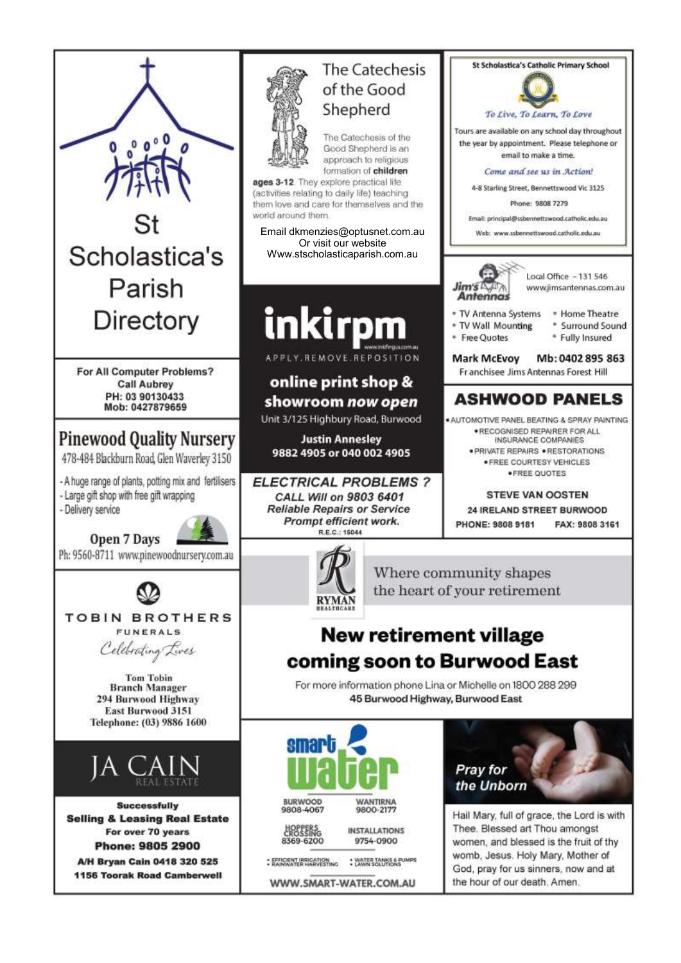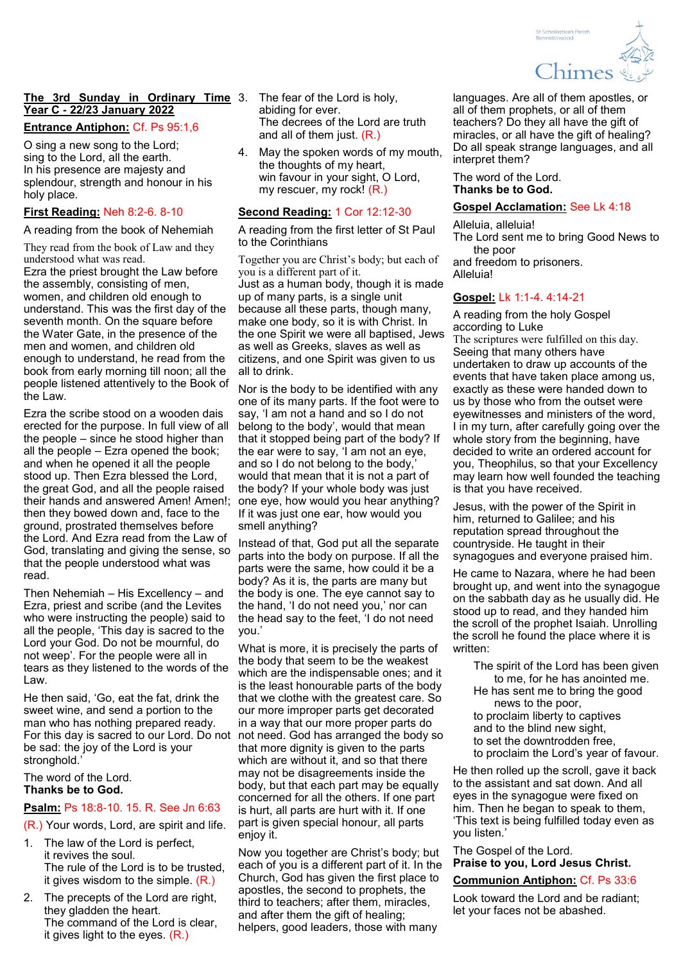

#### **The 3rd Sunday in Ordinary Time**  3. The fear of the Lord is holy, **Year C - 22/23 January 2022**

#### **Entrance Antiphon:** Cf. Ps 95:1,6

O sing a new song to the Lord; sing to the Lord, all the earth. In his presence are majesty and splendour, strength and honour in his holy place.

#### **First Reading:** Neh 8:2-6. 8-10

A reading from the book of Nehemiah

They read from the book of Law and they understood what was read. Ezra the priest brought the Law before the assembly, consisting of men, women, and children old enough to understand. This was the first day of the seventh month. On the square before the Water Gate, in the presence of the men and women, and children old enough to understand, he read from the book from early morning till noon; all the people listened attentively to the Book of the Law.

Ezra the scribe stood on a wooden dais erected for the purpose. In full view of all the people – since he stood higher than all the people – Ezra opened the book; and when he opened it all the people stood up. Then Ezra blessed the Lord, the great God, and all the people raised their hands and answered Amen! Amen!; then they bowed down and, face to the ground, prostrated themselves before the Lord. And Ezra read from the Law of God, translating and giving the sense, so that the people understood what was read.

Then Nehemiah – His Excellency – and Ezra, priest and scribe (and the Levites who were instructing the people) said to all the people, 'This day is sacred to the Lord your God. Do not be mournful, do not weep'. For the people were all in tears as they listened to the words of the Law.

He then said, 'Go, eat the fat, drink the sweet wine, and send a portion to the man who has nothing prepared ready. For this day is sacred to our Lord. Do not not need. God has arranged the body so be sad: the joy of the Lord is your stronghold.'

#### The word of the Lord. **Thanks be to God.**

#### **Psalm:** Ps 18:8-10. 15. R. See Jn 6:63

(R.) Your words, Lord, are spirit and life.

- 1. The law of the Lord is perfect, it revives the soul. The rule of the Lord is to be trusted, it gives wisdom to the simple. (R.)
- 2. The precepts of the Lord are right, they gladden the heart. The command of the Lord is clear, it gives light to the eyes. (R.)
- abiding for ever. The decrees of the Lord are truth and all of them just. (R.)
- May the spoken words of my mouth, the thoughts of my heart, win favour in your sight, O Lord, my rescuer, my rock! (R.)

#### **Second Reading:** 1 Cor 12:12-30

A reading from the first letter of St Paul to the Corinthians

Together you are Christ's body; but each of you is a different part of it. Just as a human body, though it is made up of many parts, is a single unit because all these parts, though many, make one body, so it is with Christ. In the one Spirit we were all baptised, Jews as well as Greeks, slaves as well as citizens, and one Spirit was given to us all to drink.

Nor is the body to be identified with any one of its many parts. If the foot were to say, 'I am not a hand and so I do not belong to the body', would that mean that it stopped being part of the body? If the ear were to say, 'I am not an eye, and so I do not belong to the body,' would that mean that it is not a part of the body? If your whole body was just one eye, how would you hear anything? If it was just one ear, how would you smell anything?

Instead of that, God put all the separate parts into the body on purpose. If all the parts were the same, how could it be a body? As it is, the parts are many but the body is one. The eye cannot say to the hand, 'I do not need you,' nor can the head say to the feet, 'I do not need you.'

What is more, it is precisely the parts of the body that seem to be the weakest which are the indispensable ones; and it is the least honourable parts of the body that we clothe with the greatest care. So our more improper parts get decorated in a way that our more proper parts do that more dignity is given to the parts which are without it, and so that there may not be disagreements inside the body, but that each part may be equally concerned for all the others. If one part is hurt, all parts are hurt with it. If one part is given special honour, all parts enjoy it.

Now you together are Christ's body; but each of you is a different part of it. In the Church, God has given the first place to apostles, the second to prophets, the third to teachers; after them, miracles, and after them the gift of healing; helpers, good leaders, those with many

languages. Are all of them apostles, or all of them prophets, or all of them teachers? Do they all have the gift of miracles, or all have the gift of healing? Do all speak strange languages, and all interpret them?

The word of the Lord. **Thanks be to God.**

#### **Gospel Acclamation:** See Lk 4:18

Alleluia, alleluia! The Lord sent me to bring Good News to the poor and freedom to prisoners. Alleluia!

#### **Gospel:** Lk 1:1-4. 4:14-21

A reading from the holy Gospel according to Luke The scriptures were fulfilled on this day. Seeing that many others have undertaken to draw up accounts of the events that have taken place among us, exactly as these were handed down to us by those who from the outset were eyewitnesses and ministers of the word, I in my turn, after carefully going over the whole story from the beginning, have decided to write an ordered account for you, Theophilus, so that your Excellency may learn how well founded the teaching is that you have received.

Jesus, with the power of the Spirit in him, returned to Galilee; and his reputation spread throughout the countryside. He taught in their synagogues and everyone praised him.

He came to Nazara, where he had been brought up, and went into the synagogue on the sabbath day as he usually did. He stood up to read, and they handed him the scroll of the prophet Isaiah. Unrolling the scroll he found the place where it is written:

The spirit of the Lord has been given to me, for he has anointed me. He has sent me to bring the good

news to the poor, to proclaim liberty to captives and to the blind new sight, to set the downtrodden free, to proclaim the Lord's year of favour.

He then rolled up the scroll, gave it back to the assistant and sat down. And all eyes in the synagogue were fixed on him. Then he began to speak to them, 'This text is being fulfilled today even as you listen.'

The Gospel of the Lord. **Praise to you, Lord Jesus Christ.**

#### **Communion Antiphon:** Cf. Ps 33:6

Look toward the Lord and be radiant; let your faces not be abashed.